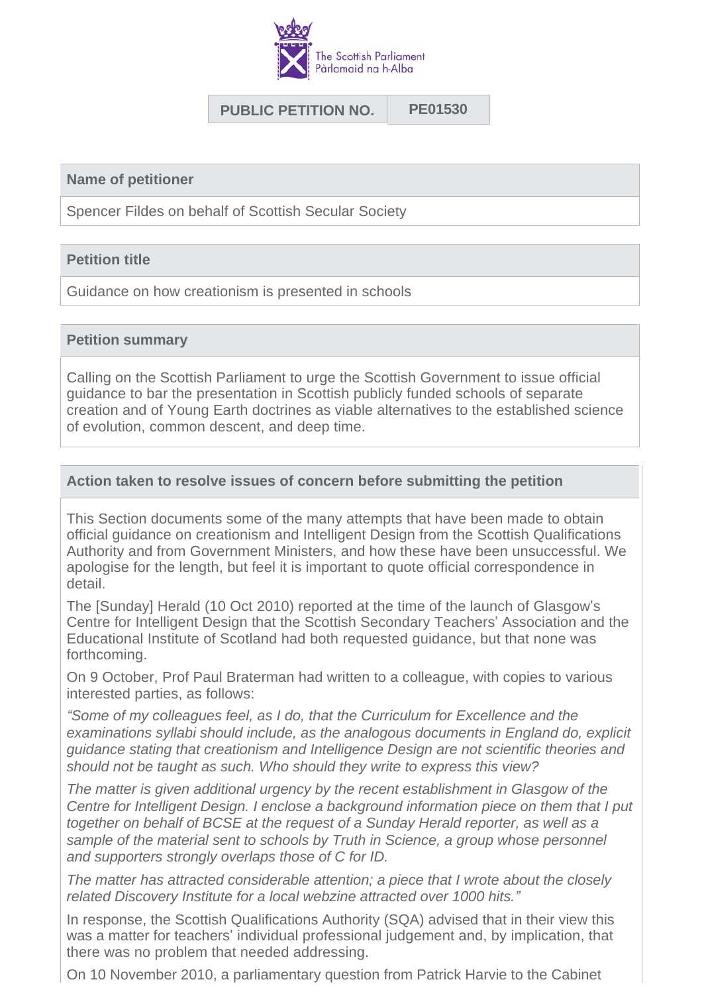

# **PUBLIC PETITION NO. PE01530**

**Name of petitioner**

Spencer Fildes on behalf of Scottish Secular Society

## **Petition title**

Guidance on how creationism is presented in schools

#### **Petition summary**

Calling on the Scottish Parliament to urge the Scottish Government to issue official guidance to bar the presentation in Scottish publicly funded schools of separate creation and of Young Earth doctrines as viable alternatives to the established science of evolution, common descent, and deep time.

## **Action taken to resolve issues of concern before submitting the petition**

This Section documents some of the many attempts that have been made to obtain official guidance on creationism and Intelligent Design from the Scottish Qualifications Authority and from Government Ministers, and how these have been unsuccessful. We apologise for the length, but feel it is important to quote official correspondence in detail.

The [Sunday] Herald (10 Oct 2010) reported at the time of the launch of Glasgow's Centre for Intelligent Design that the Scottish Secondary Teachers' Association and the Educational Institute of Scotland had both requested guidance, but that none was forthcoming.

On 9 October, Prof Paul Braterman had written to a colleague, with copies to various interested parties, as follows:

*"Some of my colleagues feel, as I do, that the Curriculum for Excellence and the examinations syllabi should include, as the analogous documents in England do, explicit guidance stating that creationism and Intelligence Design are not scientific theories and should not be taught as such. Who should they write to express this view?*

*The matter is given additional urgency by the recent establishment in Glasgow of the Centre for Intelligent Design. I enclose a background information piece on them that I put together on behalf of BCSE at the request of a Sunday Herald reporter, as well as a sample of the material sent to schools by Truth in Science, a group whose personnel and supporters strongly overlaps those of C for ID.*

*The matter has attracted considerable attention; a piece that I wrote about the closely related Discovery Institute for a local webzine attracted over 1000 hits."*

In response, the Scottish Qualifications Authority (SQA) advised that in their view this was a matter for teachers' individual professional judgement and, by implication, that there was no problem that needed addressing.

On 10 November 2010, a parliamentary question from Patrick Harvie to the Cabinet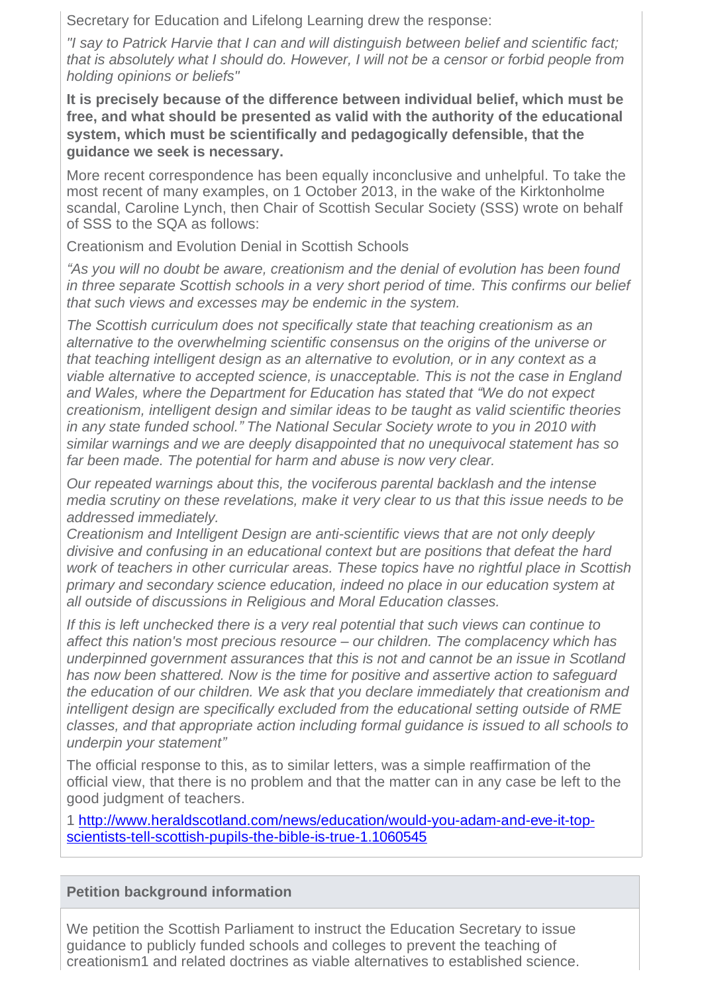Secretary for Education and Lifelong Learning drew the response:

*"I say to Patrick Harvie that I can and will distinguish between belief and scientific fact; that is absolutely what I should do. However, I will not be a censor or forbid people from holding opinions or beliefs"*

**It is precisely because of the difference between individual belief, which must be free, and what should be presented as valid with the authority of the educational system, which must be scientifically and pedagogically defensible, that the guidance we seek is necessary.**

More recent correspondence has been equally inconclusive and unhelpful. To take the most recent of many examples, on 1 October 2013, in the wake of the Kirktonholme scandal, Caroline Lynch, then Chair of Scottish Secular Society (SSS) wrote on behalf of SSS to the SQA as follows:

Creationism and Evolution Denial in Scottish Schools

*"As you will no doubt be aware, creationism and the denial of evolution has been found in three separate Scottish schools in a very short period of time. This confirms our belief that such views and excesses may be endemic in the system.*

*The Scottish curriculum does not specifically state that teaching creationism as an alternative to the overwhelming scientific consensus on the origins of the universe or that teaching intelligent design as an alternative to evolution, or in any context as a viable alternative to accepted science, is unacceptable. This is not the case in England and Wales, where the Department for Education has stated that "We do not expect creationism, intelligent design and similar ideas to be taught as valid scientific theories in any state funded school." The National Secular Society wrote to you in 2010 with similar warnings and we are deeply disappointed that no unequivocal statement has so far been made. The potential for harm and abuse is now very clear.*

*Our repeated warnings about this, the vociferous parental backlash and the intense media scrutiny on these revelations, make it very clear to us that this issue needs to be addressed immediately.*

*Creationism and Intelligent Design are anti-scientific views that are not only deeply divisive and confusing in an educational context but are positions that defeat the hard work of teachers in other curricular areas. These topics have no rightful place in Scottish primary and secondary science education, indeed no place in our education system at all outside of discussions in Religious and Moral Education classes.*

*If this is left unchecked there is a very real potential that such views can continue to affect this nation's most precious resource – our children. The complacency which has underpinned government assurances that this is not and cannot be an issue in Scotland has now been shattered. Now is the time for positive and assertive action to safeguard the education of our children. We ask that you declare immediately that creationism and intelligent design are specifically excluded from the educational setting outside of RME classes, and that appropriate action including formal guidance is issued to all schools to underpin your statement"*

The official response to this, as to similar letters, was a simple reaffirmation of the official view, that there is no problem and that the matter can in any case be left to the good judgment of teachers.

[1 http://www.heraldscotland.com/news/education/would-you-adam-and-eve-it-top](http://www.heraldscotland.com/news/education/would-you-adam-and-eve-it-top-scientists-tell-scottish-pupils-the-bible-is-true-1.1060545)scientists-tell-scottish-pupils-the-bible-is-true-1.1060545

# **Petition background information**

We petition the Scottish Parliament to instruct the Education Secretary to issue guidance to publicly funded schools and colleges to prevent the teaching of creationism1 and related doctrines as viable alternatives to established science.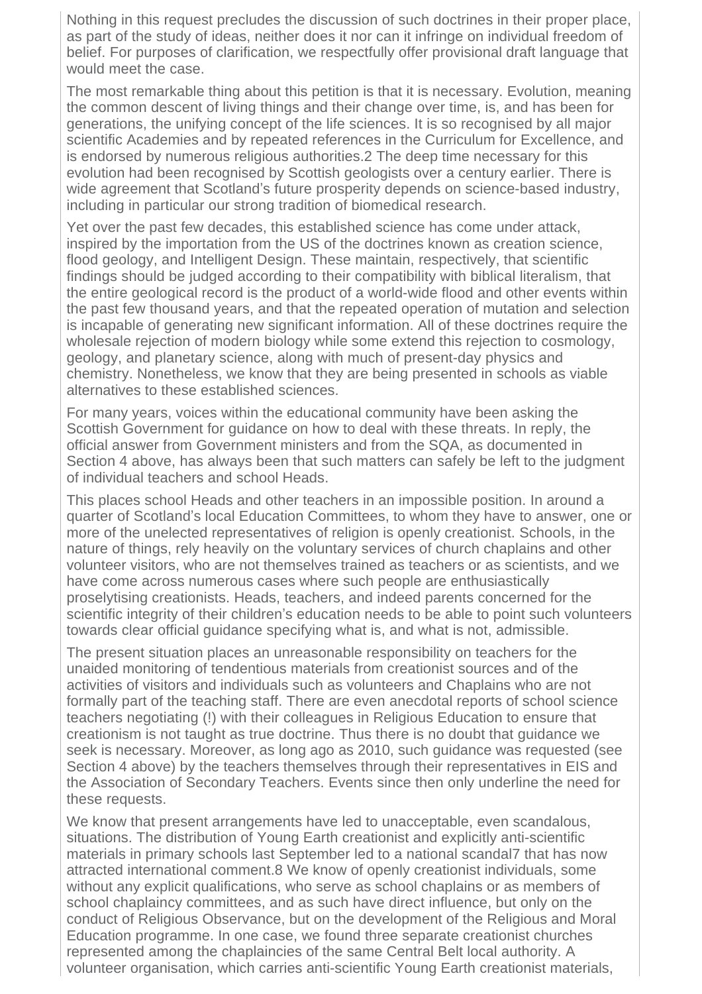Nothing in this request precludes the discussion of such doctrines in their proper place, as part of the study of ideas, neither does it nor can it infringe on individual freedom of belief. For purposes of clarification, we respectfully offer provisional draft language that would meet the case.

The most remarkable thing about this petition is that it is necessary. Evolution, meaning the common descent of living things and their change over time, is, and has been for generations, the unifying concept of the life sciences. It is so recognised by all major scientific Academies and by repeated references in the Curriculum for Excellence, and is endorsed by numerous religious authorities.2 The deep time necessary for this evolution had been recognised by Scottish geologists over a century earlier. There is wide agreement that Scotland's future prosperity depends on science-based industry, including in particular our strong tradition of biomedical research.

Yet over the past few decades, this established science has come under attack, inspired by the importation from the US of the doctrines known as creation science, flood geology, and Intelligent Design. These maintain, respectively, that scientific findings should be judged according to their compatibility with biblical literalism, that the entire geological record is the product of a world-wide flood and other events within the past few thousand years, and that the repeated operation of mutation and selection is incapable of generating new significant information. All of these doctrines require the wholesale rejection of modern biology while some extend this rejection to cosmology, geology, and planetary science, along with much of present-day physics and chemistry. Nonetheless, we know that they are being presented in schools as viable alternatives to these established sciences.

For many years, voices within the educational community have been asking the Scottish Government for guidance on how to deal with these threats. In reply, the official answer from Government ministers and from the SQA, as documented in Section 4 above, has always been that such matters can safely be left to the judgment of individual teachers and school Heads.

This places school Heads and other teachers in an impossible position. In around a quarter of Scotland's local Education Committees, to whom they have to answer, one or more of the unelected representatives of religion is openly creationist. Schools, in the nature of things, rely heavily on the voluntary services of church chaplains and other volunteer visitors, who are not themselves trained as teachers or as scientists, and we have come across numerous cases where such people are enthusiastically proselytising creationists. Heads, teachers, and indeed parents concerned for the scientific integrity of their children's education needs to be able to point such volunteers towards clear official guidance specifying what is, and what is not, admissible.

The present situation places an unreasonable responsibility on teachers for the unaided monitoring of tendentious materials from creationist sources and of the activities of visitors and individuals such as volunteers and Chaplains who are not formally part of the teaching staff. There are even anecdotal reports of school science teachers negotiating (!) with their colleagues in Religious Education to ensure that creationism is not taught as true doctrine. Thus there is no doubt that guidance we seek is necessary. Moreover, as long ago as 2010, such guidance was requested (see Section 4 above) by the teachers themselves through their representatives in EIS and the Association of Secondary Teachers. Events since then only underline the need for these requests.

We know that present arrangements have led to unacceptable, even scandalous, situations. The distribution of Young Earth creationist and explicitly anti-scientific materials in primary schools last September led to a national scandal7 that has now attracted international comment.8 We know of openly creationist individuals, some without any explicit qualifications, who serve as school chaplains or as members of school chaplaincy committees, and as such have direct influence, but only on the conduct of Religious Observance, but on the development of the Religious and Moral Education programme. In one case, we found three separate creationist churches represented among the chaplaincies of the same Central Belt local authority. A volunteer organisation, which carries anti-scientific Young Earth creationist materials,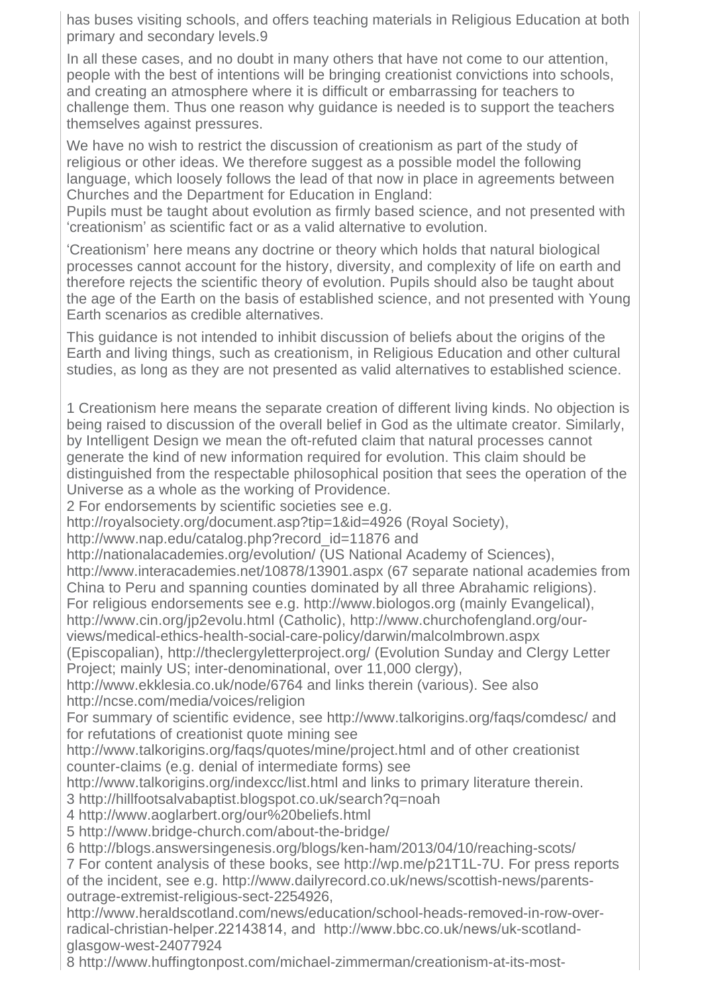has buses visiting schools, and offers teaching materials in Religious Education at both primary and secondary levels.9

In all these cases, and no doubt in many others that have not come to our attention, people with the best of intentions will be bringing creationist convictions into schools, and creating an atmosphere where it is difficult or embarrassing for teachers to challenge them. Thus one reason why guidance is needed is to support the teachers themselves against pressures.

We have no wish to restrict the discussion of creationism as part of the study of religious or other ideas. We therefore suggest as a possible model the following language, which loosely follows the lead of that now in place in agreements between Churches and the Department for Education in England:

Pupils must be taught about evolution as firmly based science, and not presented with 'creationism' as scientific fact or as a valid alternative to evolution.

'Creationism' here means any doctrine or theory which holds that natural biological processes cannot account for the history, diversity, and complexity of life on earth and therefore rejects the scientific theory of evolution. Pupils should also be taught about the age of the Earth on the basis of established science, and not presented with Young Earth scenarios as credible alternatives.

This guidance is not intended to inhibit discussion of beliefs about the origins of the Earth and living things, such as creationism, in Religious Education and other cultural studies, as long as they are not presented as valid alternatives to established science.

1 Creationism here means the separate creation of different living kinds. No objection is being raised to discussion of the overall belief in God as the ultimate creator. Similarly, by Intelligent Design we mean the oft-refuted claim that natural processes cannot generate the kind of new information required for evolution. This claim should be distinguished from the respectable philosophical position that sees the operation of the Universe as a whole as the working of Providence.

2 For endorsements by scientific societies see e.g.

http://royalsociety.org/document.asp?tip=1&id=4926 (Royal Society),

http://www.nap.edu/catalog.php?record\_id=11876 and

http://nationalacademies.org/evolution/ (US National Academy of Sciences),

http://www.interacademies.net/10878/13901.aspx (67 separate national academies from China to Peru and spanning counties dominated by all three Abrahamic religions).

For religious endorsements see e.g. http://www.biologos.org (mainly Evangelical),

http://www.cin.org/jp2evolu.html (Catholic), http://www.churchofengland.org/our-

views/medical-ethics-health-social-care-policy/darwin/malcolmbrown.aspx

(Episcopalian), http://theclergyletterproject.org/ (Evolution Sunday and Clergy Letter Project; mainly US; inter-denominational, over 11,000 clergy),

http://www.ekklesia.co.uk/node/6764 and links therein (various). See also http://ncse.com/media/voices/religion

For summary of scientific evidence, see http://www.talkorigins.org/faqs/comdesc/ and for refutations of creationist quote mining see

http://www.talkorigins.org/faqs/quotes/mine/project.html and of other creationist counter-claims (e.g. denial of intermediate forms) see

http://www.talkorigins.org/indexcc/list.html and links to primary literature therein.

3 http://hillfootsalvabaptist.blogspot.co.uk/search?q=noah

4 http://www.aoglarbert.org/our%20beliefs.html

5 http://www.bridge-church.com/about-the-bridge/

6 http://blogs.answersingenesis.org/blogs/ken-ham/2013/04/10/reaching-scots/

7 For content analysis of these books, see http://wp.me/p21T1L-7U. For press reports of the incident, see e.g. http://www.dailyrecord.co.uk/news/scottish-news/parentsoutrage-extremist-religious-sect-2254926,

http://www.heraldscotland.com/news/education/school-heads-removed-in-row-overradical-christian-helper.22143814, and http://www.bbc.co.uk/news/uk-scotlandglasgow-west-24077924

8 http://www.huffingtonpost.com/michael-zimmerman/creationism-at-its-most-